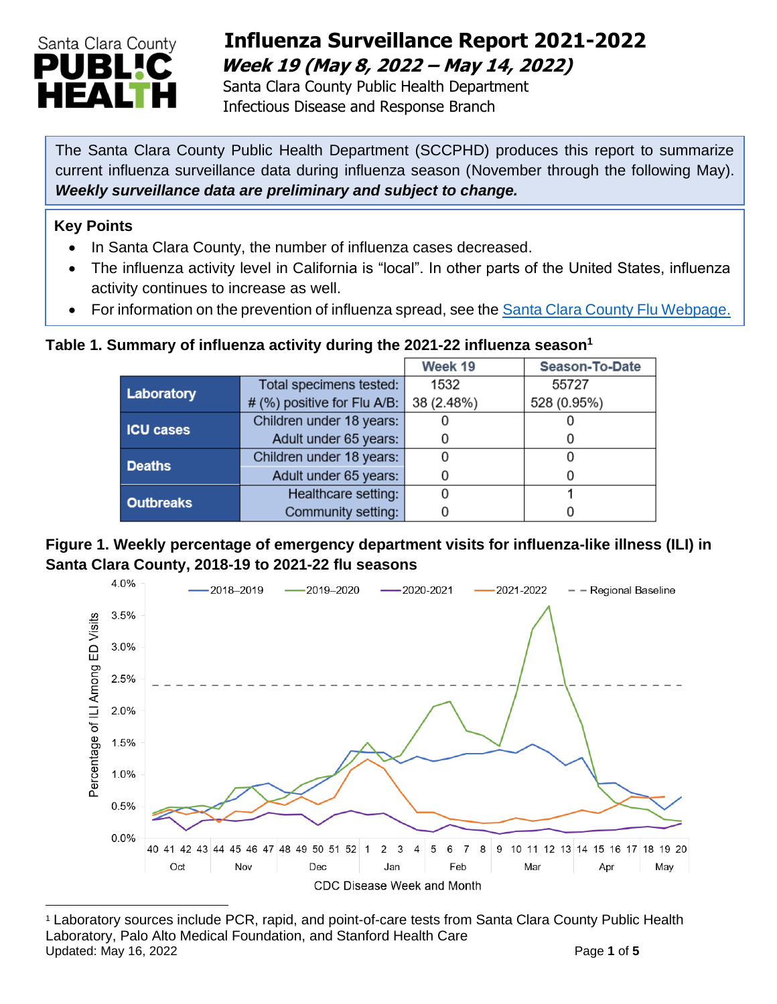

## **Influenza Surveillance Report 2021-2022 Week 19 (May 8, 2022 – May 14, 2022)**

 Santa Clara County Public Health Department Infectious Disease and Response Branch

The Santa Clara County Public Health Department (SCCPHD) produces this report to summarize current influenza surveillance data during influenza season (November through the following May). *Weekly surveillance data are preliminary and subject to change.*

#### **Key Points**

- In Santa Clara County, the number of influenza cases decreased.
- The influenza activity level in California is "local". In other parts of the United States, influenza activity continues to increase as well.
- For information on the prevention of influenza spread, see the [Santa Clara County Flu Webpage.](https://publichealth.sccgov.org/disease-information/influenza-flu)

### **Table 1. Summary of influenza activity during the 2021-22 influenza season<sup>1</sup>**

|                  |                             | Week 19    | Season-To-Date |  |
|------------------|-----------------------------|------------|----------------|--|
| Laboratory       | Total specimens tested:     | 1532       | 55727          |  |
|                  | # (%) positive for Flu A/B: | 38 (2.48%) | 528 (0.95%)    |  |
| <b>ICU cases</b> | Children under 18 years:    |            |                |  |
|                  | Adult under 65 years:       |            | 0              |  |
| <b>Deaths</b>    | Children under 18 years:    |            |                |  |
|                  | Adult under 65 years:       |            |                |  |
| <b>Outbreaks</b> | Healthcare setting:         |            |                |  |
|                  | Community setting:          |            |                |  |

### **Figure 1. Weekly percentage of emergency department visits for influenza-like illness (ILI) in Santa Clara County, 2018-19 to 2021-22 flu seasons**



<sup>1</sup> Laboratory sources include PCR, rapid, and point-of-care tests from Santa Clara County Public Health Laboratory, Palo Alto Medical Foundation, and Stanford Health Care Updated: May 16, 2022 **Page 1** of **5**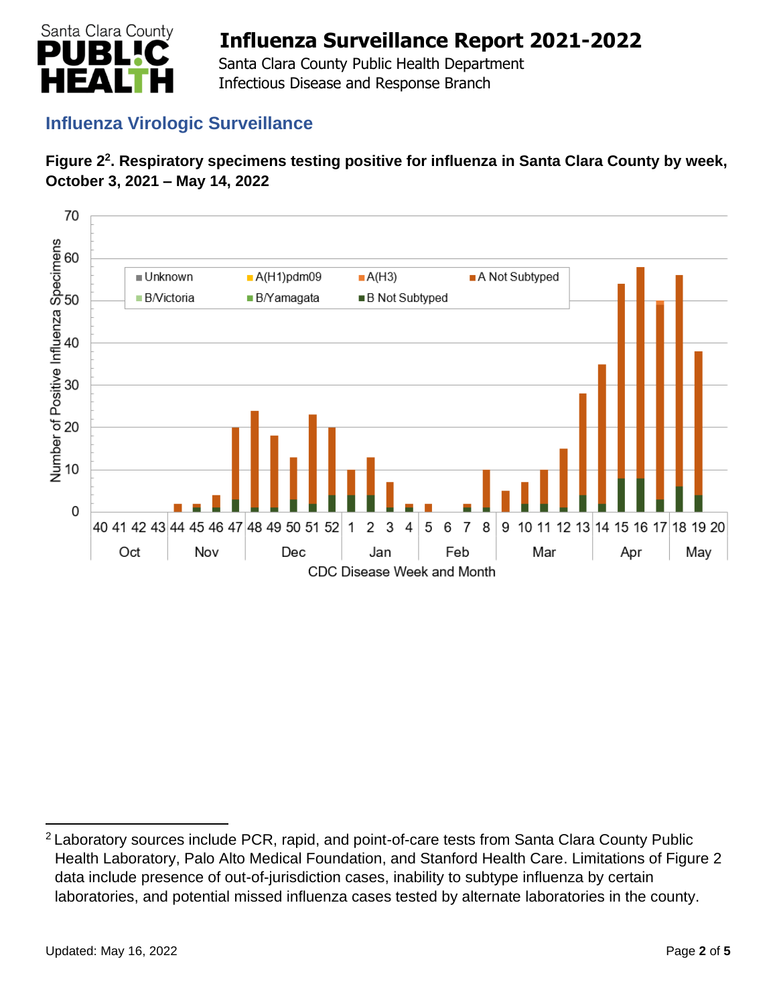

 Santa Clara County Public Health Department Infectious Disease and Response Branch

### **Influenza Virologic Surveillance**





<sup>&</sup>lt;sup>2</sup> Laboratory sources include PCR, rapid, and point-of-care tests from Santa Clara County Public Health Laboratory, Palo Alto Medical Foundation, and Stanford Health Care. Limitations of Figure 2 data include presence of out-of-jurisdiction cases, inability to subtype influenza by certain laboratories, and potential missed influenza cases tested by alternate laboratories in the county.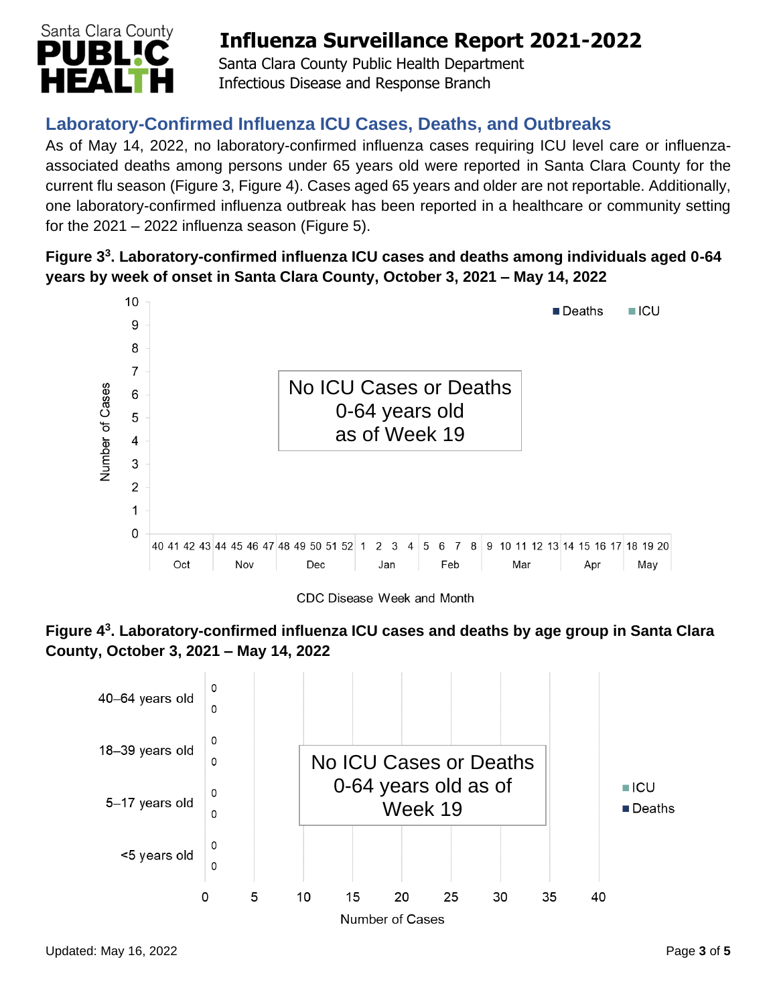

 Santa Clara County Public Health Department Infectious Disease and Response Branch

## **Laboratory-Confirmed Influenza ICU Cases, Deaths, and Outbreaks**

As of May 14, 2022, no laboratory-confirmed influenza cases requiring ICU level care or influenzaassociated deaths among persons under 65 years old were reported in Santa Clara County for the current flu season (Figure 3, Figure 4). Cases aged 65 years and older are not reportable. Additionally, one laboratory-confirmed influenza outbreak has been reported in a healthcare or community setting for the  $2021 - 2022$  influenza season (Figure 5).

### **Figure 3 3 . Laboratory-confirmed influenza ICU cases and deaths among individuals aged 0-64 years by week of onset in Santa Clara County, October 3, 2021 – May 14, 2022**



CDC Disease Week and Month



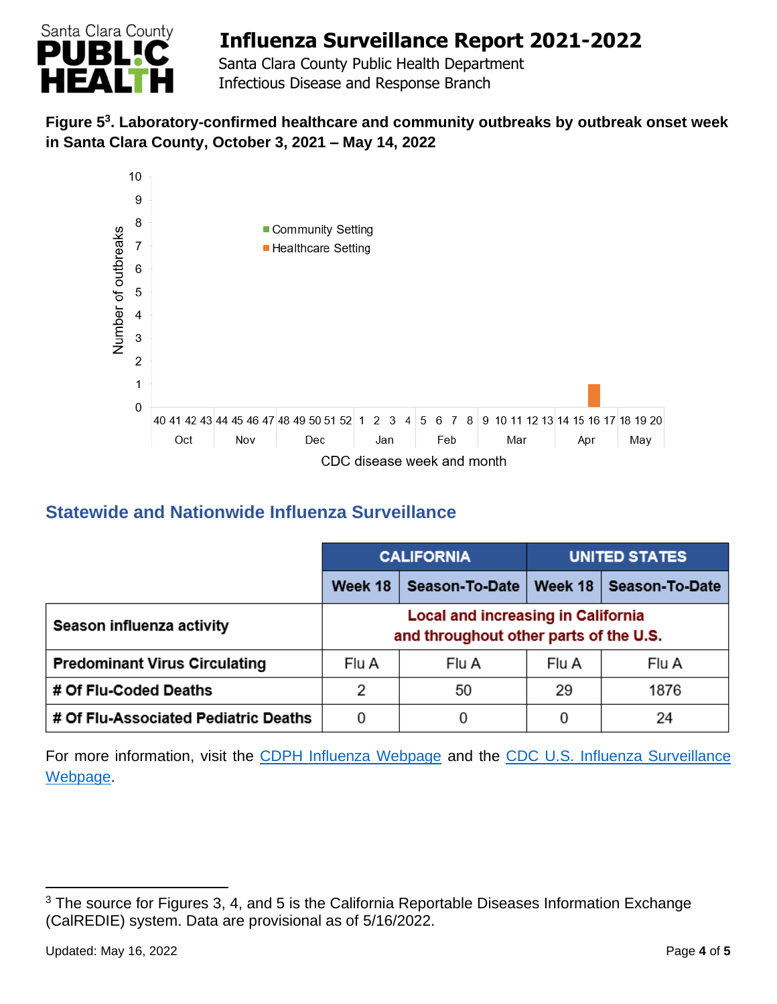

 Santa Clara County Public Health Department Infectious Disease and Response Branch

### **Figure 5 3 . Laboratory-confirmed healthcare and community outbreaks by outbreak onset week in Santa Clara County, October 3, 2021 – May 14, 2022**



## **Statewide and Nationwide Influenza Surveillance**

|                                      | <b>CALIFORNIA</b>                                                                   |                | <b>UNITED STATES</b> |                |
|--------------------------------------|-------------------------------------------------------------------------------------|----------------|----------------------|----------------|
|                                      | Week 18                                                                             | Season-To-Date | Week 18              | Season-To-Date |
| Season influenza activity            | <b>Local and increasing in California</b><br>and throughout other parts of the U.S. |                |                      |                |
| <b>Predominant Virus Circulating</b> | Flu A                                                                               | Flu A          | Flu A                | Flu A          |
| # Of Flu-Coded Deaths                | 2                                                                                   | 50             | 29                   | 1876           |
| # Of Flu-Associated Pediatric Deaths | 0                                                                                   |                | 0                    | 24             |

For more information, visit the [CDPH Influenza Webpage](http://www.cdph.ca.gov/Programs/CID/DCDC/Pages/Immunization/Influenza.aspx) and the CDC U.S. Influenza Surveillance [Webpage.](http://www.cdc.gov/flu/weekly/)

<sup>&</sup>lt;sup>3</sup> The source for Figures 3, 4, and 5 is the California Reportable Diseases Information Exchange (CalREDIE) system. Data are provisional as of 5/16/2022.